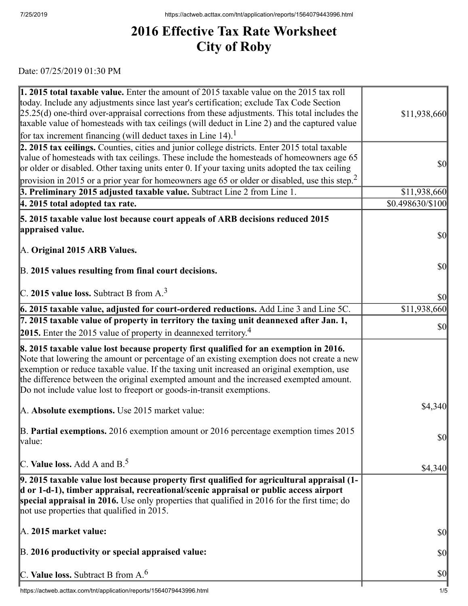## **2016 Effective Tax Rate Worksheet City of Roby**

Date: 07/25/2019 01:30 PM

| 1. 2015 total taxable value. Enter the amount of 2015 taxable value on the 2015 tax roll<br>today. Include any adjustments since last year's certification; exclude Tax Code Section<br>$[25.25(d)$ one-third over-appraisal corrections from these adjustments. This total includes the<br>taxable value of homesteads with tax ceilings (will deduct in Line 2) and the captured value                                                             | \$11,938,660                        |
|------------------------------------------------------------------------------------------------------------------------------------------------------------------------------------------------------------------------------------------------------------------------------------------------------------------------------------------------------------------------------------------------------------------------------------------------------|-------------------------------------|
| for tax increment financing (will deduct taxes in Line 14). <sup>1</sup>                                                                                                                                                                                                                                                                                                                                                                             |                                     |
| 2. 2015 tax ceilings. Counties, cities and junior college districts. Enter 2015 total taxable<br>value of homesteads with tax ceilings. These include the homesteads of homeowners age 65<br>or older or disabled. Other taxing units enter 0. If your taxing units adopted the tax ceiling                                                                                                                                                          | $\sqrt{50}$                         |
| provision in 2015 or a prior year for homeowners age 65 or older or disabled, use this step. <sup>2</sup>                                                                                                                                                                                                                                                                                                                                            |                                     |
| 3. Preliminary 2015 adjusted taxable value. Subtract Line 2 from Line 1.<br>$ 4.2015$ total adopted tax rate.                                                                                                                                                                                                                                                                                                                                        | \$11,938,660<br>\$0.498630/\$100    |
|                                                                                                                                                                                                                                                                                                                                                                                                                                                      |                                     |
| 5. 2015 taxable value lost because court appeals of ARB decisions reduced 2015                                                                                                                                                                                                                                                                                                                                                                       |                                     |
| appraised value.                                                                                                                                                                                                                                                                                                                                                                                                                                     | \$0                                 |
| A. Original 2015 ARB Values.                                                                                                                                                                                                                                                                                                                                                                                                                         |                                     |
|                                                                                                                                                                                                                                                                                                                                                                                                                                                      |                                     |
| B. 2015 values resulting from final court decisions.                                                                                                                                                                                                                                                                                                                                                                                                 | $\vert \mathbf{S} \mathbf{0} \vert$ |
|                                                                                                                                                                                                                                                                                                                                                                                                                                                      |                                     |
| C. 2015 value loss. Subtract B from $A3$                                                                                                                                                                                                                                                                                                                                                                                                             | \$0                                 |
| 6. 2015 taxable value, adjusted for court-ordered reductions. Add Line 3 and Line 5C.                                                                                                                                                                                                                                                                                                                                                                | \$11,938,660                        |
| 7. 2015 taxable value of property in territory the taxing unit deannexed after Jan. 1,                                                                                                                                                                                                                                                                                                                                                               |                                     |
| <b>2015.</b> Enter the 2015 value of property in deannexed territory. <sup>4</sup>                                                                                                                                                                                                                                                                                                                                                                   | $\sqrt{50}$                         |
| 8. 2015 taxable value lost because property first qualified for an exemption in 2016.<br>Note that lowering the amount or percentage of an existing exemption does not create a new<br>exemption or reduce taxable value. If the taxing unit increased an original exemption, use<br>the difference between the original exempted amount and the increased exempted amount.<br>Do not include value lost to freeport or goods-in-transit exemptions. |                                     |
| A. Absolute exemptions. Use 2015 market value:                                                                                                                                                                                                                                                                                                                                                                                                       | \$4,340                             |
| $\mathbb B$ . Partial exemptions. 2016 exemption amount or 2016 percentage exemption times 2015<br>value:                                                                                                                                                                                                                                                                                                                                            | $\vert \mathbf{S} \mathbf{0} \vert$ |
| C. Value loss. Add A and $B^5$ .                                                                                                                                                                                                                                                                                                                                                                                                                     | \$4,340                             |
| $\vert$ 9. 2015 taxable value lost because property first qualified for agricultural appraisal (1-<br>d or 1-d-1), timber appraisal, recreational/scenic appraisal or public access airport<br>special appraisal in 2016. Use only properties that qualified in 2016 for the first time; do<br>not use properties that qualified in 2015.                                                                                                            |                                     |
| A. 2015 market value:                                                                                                                                                                                                                                                                                                                                                                                                                                | \$0                                 |
| B. 2016 productivity or special appraised value:                                                                                                                                                                                                                                                                                                                                                                                                     | $\vert \mathbf{S} \mathbf{0} \vert$ |
| C. Value loss. Subtract B from $A6$                                                                                                                                                                                                                                                                                                                                                                                                                  | $ 10\rangle$                        |
|                                                                                                                                                                                                                                                                                                                                                                                                                                                      |                                     |

 $\overline{\phantom{a}}$ https://actweb.acttax.com/tnt/application/reports/1564079443996.html 1/5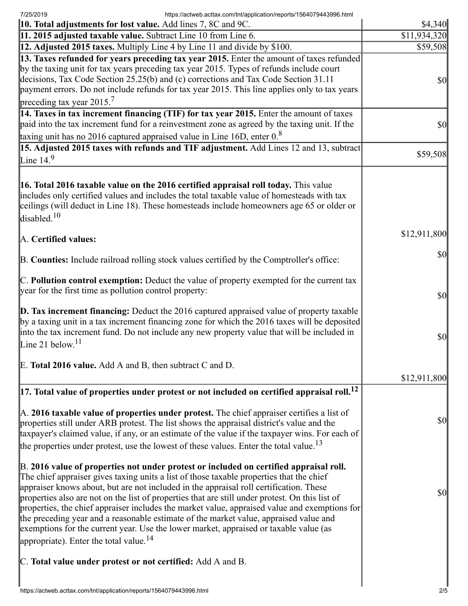7/25/2019 https://actweb.acttax.com/tnt/application/reports/1564079443996.html

| 10. Total adjustments for lost value. Add lines 7, 8C and 9C.                                                                                                                                                                                                                                                                                                                                                                                                                                                                                                                                                                                                                                                      | \$4,340             |
|--------------------------------------------------------------------------------------------------------------------------------------------------------------------------------------------------------------------------------------------------------------------------------------------------------------------------------------------------------------------------------------------------------------------------------------------------------------------------------------------------------------------------------------------------------------------------------------------------------------------------------------------------------------------------------------------------------------------|---------------------|
| 11. 2015 adjusted taxable value. Subtract Line 10 from Line 6.                                                                                                                                                                                                                                                                                                                                                                                                                                                                                                                                                                                                                                                     | \$11,934,320        |
| 12. Adjusted 2015 taxes. Multiply Line 4 by Line 11 and divide by \$100.                                                                                                                                                                                                                                                                                                                                                                                                                                                                                                                                                                                                                                           | \$59,508            |
| 13. Taxes refunded for years preceding tax year 2015. Enter the amount of taxes refunded<br>by the taxing unit for tax years preceding tax year 2015. Types of refunds include court<br>decisions, Tax Code Section 25.25(b) and (c) corrections and Tax Code Section 31.11<br>payment errors. Do not include refunds for tax year 2015. This line applies only to tax years<br>preceding tax year $2015.7$                                                                                                                                                                                                                                                                                                        | <b>\$0</b>          |
| 14. Taxes in tax increment financing (TIF) for tax year 2015. Enter the amount of taxes<br>paid into the tax increment fund for a reinvestment zone as agreed by the taxing unit. If the<br>taxing unit has no 2016 captured appraised value in Line 16D, enter $0.8$                                                                                                                                                                                                                                                                                                                                                                                                                                              | $\vert \$\{0}\vert$ |
| 15. Adjusted 2015 taxes with refunds and TIF adjustment. Add Lines 12 and 13, subtract<br>Line $14.9$                                                                                                                                                                                                                                                                                                                                                                                                                                                                                                                                                                                                              | \$59,508            |
| <b>16. Total 2016 taxable value on the 2016 certified appraisal roll today.</b> This value<br>includes only certified values and includes the total taxable value of homesteads with tax<br>ceilings (will deduct in Line 18). These homesteads include homeowners age 65 or older or<br>disabled. <sup>10</sup>                                                                                                                                                                                                                                                                                                                                                                                                   |                     |
| A. Certified values:                                                                                                                                                                                                                                                                                                                                                                                                                                                                                                                                                                                                                                                                                               | \$12,911,800        |
| B. Counties: Include railroad rolling stock values certified by the Comptroller's office:                                                                                                                                                                                                                                                                                                                                                                                                                                                                                                                                                                                                                          | <b>\$0</b>          |
| C. Pollution control exemption: Deduct the value of property exempted for the current tax<br>year for the first time as pollution control property:                                                                                                                                                                                                                                                                                                                                                                                                                                                                                                                                                                | $\vert \$\{0}\vert$ |
| $\vert$ D. Tax increment financing: Deduct the 2016 captured appraised value of property taxable<br>by a taxing unit in a tax increment financing zone for which the 2016 taxes will be deposited<br>into the tax increment fund. Do not include any new property value that will be included in<br>Line 21 below. <sup>11</sup>                                                                                                                                                                                                                                                                                                                                                                                   | $\vert \$\{0}\vert$ |
| E. Total 2016 value. Add A and B, then subtract C and D.                                                                                                                                                                                                                                                                                                                                                                                                                                                                                                                                                                                                                                                           | \$12,911,800        |
|                                                                                                                                                                                                                                                                                                                                                                                                                                                                                                                                                                                                                                                                                                                    |                     |
| $\vert$ 17. Total value of properties under protest or not included on certified appraisal roll. <sup>12</sup><br>$\mathbb A$ . 2016 taxable value of properties under protest. The chief appraiser certifies a list of<br>properties still under ARB protest. The list shows the appraisal district's value and the<br>taxpayer's claimed value, if any, or an estimate of the value if the taxpayer wins. For each of<br>the properties under protest, use the lowest of these values. Enter the total value. <sup>13</sup>                                                                                                                                                                                      | <b>\$0</b>          |
| B. 2016 value of properties not under protest or included on certified appraisal roll.<br>The chief appraiser gives taxing units a list of those taxable properties that the chief<br>appraiser knows about, but are not included in the appraisal roll certification. These<br>properties also are not on the list of properties that are still under protest. On this list of<br>properties, the chief appraiser includes the market value, appraised value and exemptions for<br>the preceding year and a reasonable estimate of the market value, appraised value and<br>exemptions for the current year. Use the lower market, appraised or taxable value (as<br>appropriate). Enter the total value. $^{14}$ | <b>\$0</b>          |
| C. Total value under protest or not certified: Add A and B.                                                                                                                                                                                                                                                                                                                                                                                                                                                                                                                                                                                                                                                        |                     |
|                                                                                                                                                                                                                                                                                                                                                                                                                                                                                                                                                                                                                                                                                                                    |                     |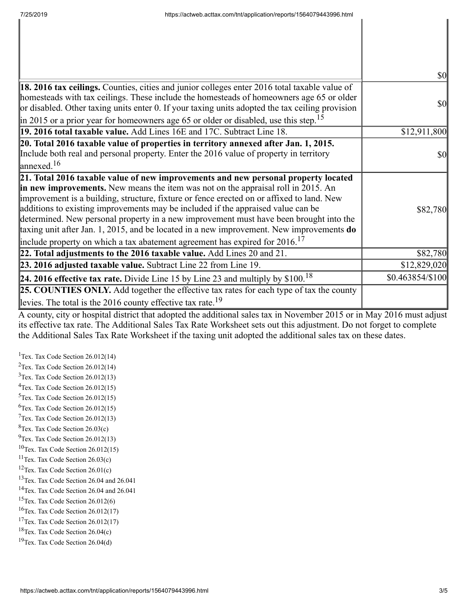|                                                                                                                                                                                                                                                                                                                                                                                                                                                                                                                                                                                                                                              | $\frac{1}{2}$    |
|----------------------------------------------------------------------------------------------------------------------------------------------------------------------------------------------------------------------------------------------------------------------------------------------------------------------------------------------------------------------------------------------------------------------------------------------------------------------------------------------------------------------------------------------------------------------------------------------------------------------------------------------|------------------|
| 18. 2016 tax ceilings. Counties, cities and junior colleges enter 2016 total taxable value of<br>homesteads with tax ceilings. These include the homesteads of homeowners age 65 or older<br>or disabled. Other taxing units enter 0. If your taxing units adopted the tax ceiling provision<br>$\left  \text{in } 2015 \text{ or a prior year for home owners age } 65 \text{ or older or disabled, use this step.} \right ^{15}$                                                                                                                                                                                                           | <b>\$0</b>       |
| 19. 2016 total taxable value. Add Lines 16E and 17C. Subtract Line 18.                                                                                                                                                                                                                                                                                                                                                                                                                                                                                                                                                                       | \$12,911,800     |
| 20. Total 2016 taxable value of properties in territory annexed after Jan. 1, 2015.<br>Include both real and personal property. Enter the 2016 value of property in territory<br>$\lvert$ annexed. <sup>16</sup>                                                                                                                                                                                                                                                                                                                                                                                                                             | $\frac{1}{2}$    |
| 21. Total 2016 taxable value of new improvements and new personal property located<br>in new improvements. New means the item was not on the appraisal roll in 2015. An<br>improvement is a building, structure, fixture or fence erected on or affixed to land. New<br>additions to existing improvements may be included if the appraised value can be<br>determined. New personal property in a new improvement must have been brought into the<br>taxing unit after Jan. 1, 2015, and be located in a new improvement. New improvements do<br>include property on which a tax abatement agreement has expired for $2016$ . <sup>17</sup> | \$82,780         |
| 22. Total adjustments to the 2016 taxable value. Add Lines 20 and 21.                                                                                                                                                                                                                                                                                                                                                                                                                                                                                                                                                                        | \$82,780         |
| 23. 2016 adjusted taxable value. Subtract Line 22 from Line 19.                                                                                                                                                                                                                                                                                                                                                                                                                                                                                                                                                                              | \$12,829,020     |
| 24. 2016 effective tax rate. Divide Line 15 by Line 23 and multiply by $$100.18$                                                                                                                                                                                                                                                                                                                                                                                                                                                                                                                                                             | \$0.463854/\$100 |
| 25. COUNTIES ONLY. Add together the effective tax rates for each type of tax the county<br>levies. The total is the 2016 county effective tax rate. <sup>19</sup>                                                                                                                                                                                                                                                                                                                                                                                                                                                                            |                  |

A county, city or hospital district that adopted the additional sales tax in November 2015 or in May 2016 must adjust its effective tax rate. The Additional Sales Tax Rate Worksheet sets out this adjustment. Do not forget to complete the Additional Sales Tax Rate Worksheet if the taxing unit adopted the additional sales tax on these dates.

<sup>1</sup>Tex. Tax Code Section  $26.012(14)$ <sup>2</sup>Tex. Tax Code Section  $26.012(14)$  $3$ Tex. Tax Code Section 26.012(13)  $4$ Tex. Tax Code Section 26.012(15)  $5$ Tex. Tax Code Section 26.012(15)  ${}^{6}$ Tex. Tax Code Section 26.012(15)  $7$ Tex. Tax Code Section 26.012(13)  ${}^{8}$ Tex. Tax Code Section 26.03(c)  $^{9}$ Tex. Tax Code Section 26.012(13)  $10$ Tex. Tax Code Section 26.012(15)  $11$ Tex. Tax Code Section 26.03(c) <sup>12</sup>Tex. Tax Code Section  $26.01(c)$ <sup>13</sup>Tex. Tax Code Section 26.04 and 26.041 <sup>14</sup>Tex. Tax Code Section 26.04 and 26.041  $15$ Tex. Tax Code Section 26.012(6)  $16$ Tex. Tax Code Section 26.012(17) <sup>17</sup>Tex. Tax Code Section  $26.012(17)$  $18$ Tex. Tax Code Section 26.04(c)  $19$ Tex. Tax Code Section 26.04(d)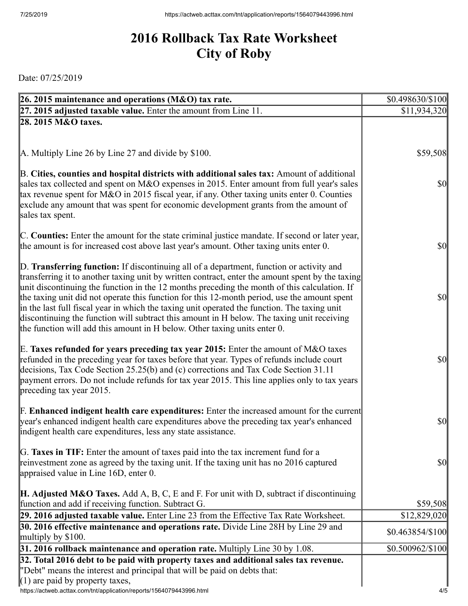## **2016 Rollback Tax Rate Worksheet City of Roby**

Date: 07/25/2019

| 26. 2015 maintenance and operations (M&O) tax rate.                                                                                                                                                                                                                                                                                                                                                                                                                                                                                                                                                                                                                     | \$0.498630/\$100  |
|-------------------------------------------------------------------------------------------------------------------------------------------------------------------------------------------------------------------------------------------------------------------------------------------------------------------------------------------------------------------------------------------------------------------------------------------------------------------------------------------------------------------------------------------------------------------------------------------------------------------------------------------------------------------------|-------------------|
| $[27. 2015$ adjusted taxable value. Enter the amount from Line 11.                                                                                                                                                                                                                                                                                                                                                                                                                                                                                                                                                                                                      | \$11,934,320      |
| 28. 2015 M&O taxes.                                                                                                                                                                                                                                                                                                                                                                                                                                                                                                                                                                                                                                                     |                   |
|                                                                                                                                                                                                                                                                                                                                                                                                                                                                                                                                                                                                                                                                         |                   |
| A. Multiply Line 26 by Line 27 and divide by \$100.                                                                                                                                                                                                                                                                                                                                                                                                                                                                                                                                                                                                                     | \$59,508          |
| B. Cities, counties and hospital districts with additional sales tax: Amount of additional<br>sales tax collected and spent on M&O expenses in 2015. Enter amount from full year's sales<br>tax revenue spent for M&O in 2015 fiscal year, if any. Other taxing units enter 0. Counties<br>exclude any amount that was spent for economic development grants from the amount of<br>sales tax spent.                                                                                                                                                                                                                                                                     | $\frac{1}{2}$     |
| C. Counties: Enter the amount for the state criminal justice mandate. If second or later year,<br>the amount is for increased cost above last year's amount. Other taxing units enter 0.                                                                                                                                                                                                                                                                                                                                                                                                                                                                                | $\frac{1}{2}$     |
| D. Transferring function: If discontinuing all of a department, function or activity and<br>transferring it to another taxing unit by written contract, enter the amount spent by the taxing<br>unit discontinuing the function in the 12 months preceding the month of this calculation. If<br>the taxing unit did not operate this function for this 12-month period, use the amount spent<br>in the last full fiscal year in which the taxing unit operated the function. The taxing unit<br>discontinuing the function will subtract this amount in H below. The taxing unit receiving<br>the function will add this amount in H below. Other taxing units enter 0. | $\frac{1}{2}$     |
| E. Taxes refunded for years preceding tax year 2015: Enter the amount of M&O taxes<br>refunded in the preceding year for taxes before that year. Types of refunds include court<br>decisions, Tax Code Section 25.25(b) and (c) corrections and Tax Code Section 31.11<br>payment errors. Do not include refunds for tax year 2015. This line applies only to tax years<br>$\beta$ preceding tax year 2015.                                                                                                                                                                                                                                                             | $\frac{1}{2}$     |
| <b>F. Enhanced indigent health care expenditures:</b> Enter the increased amount for the current<br>year's enhanced indigent health care expenditures above the preceding tax year's enhanced<br>indigent health care expenditures, less any state assistance.                                                                                                                                                                                                                                                                                                                                                                                                          | <b>\$0</b>        |
| G. Taxes in TIF: Enter the amount of taxes paid into the tax increment fund for a<br>reinvestment zone as agreed by the taxing unit. If the taxing unit has no 2016 captured<br>appraised value in Line 16D, enter 0.                                                                                                                                                                                                                                                                                                                                                                                                                                                   | <b>\$0</b>        |
| <b>H. Adjusted M&amp;O Taxes.</b> Add A, B, C, E and F. For unit with D, subtract if discontinuing<br>function and add if receiving function. Subtract G.                                                                                                                                                                                                                                                                                                                                                                                                                                                                                                               | \$59,508          |
| 29. 2016 adjusted taxable value. Enter Line 23 from the Effective Tax Rate Worksheet.                                                                                                                                                                                                                                                                                                                                                                                                                                                                                                                                                                                   | \$12,829,020      |
| 30. 2016 effective maintenance and operations rate. Divide Line 28H by Line 29 and<br>multiply by $$100$ .                                                                                                                                                                                                                                                                                                                                                                                                                                                                                                                                                              | $$0.463854\%100$  |
| 31. 2016 rollback maintenance and operation rate. Multiply Line 30 by 1.08.                                                                                                                                                                                                                                                                                                                                                                                                                                                                                                                                                                                             | $$0.500962/\$100$ |
| 32. Total 2016 debt to be paid with property taxes and additional sales tax revenue.<br>"Debt" means the interest and principal that will be paid on debts that:<br>$(1)$ are paid by property taxes,                                                                                                                                                                                                                                                                                                                                                                                                                                                                   |                   |

https://actweb.acttax.com/tnt/application/reports/1564079443996.html 4/5